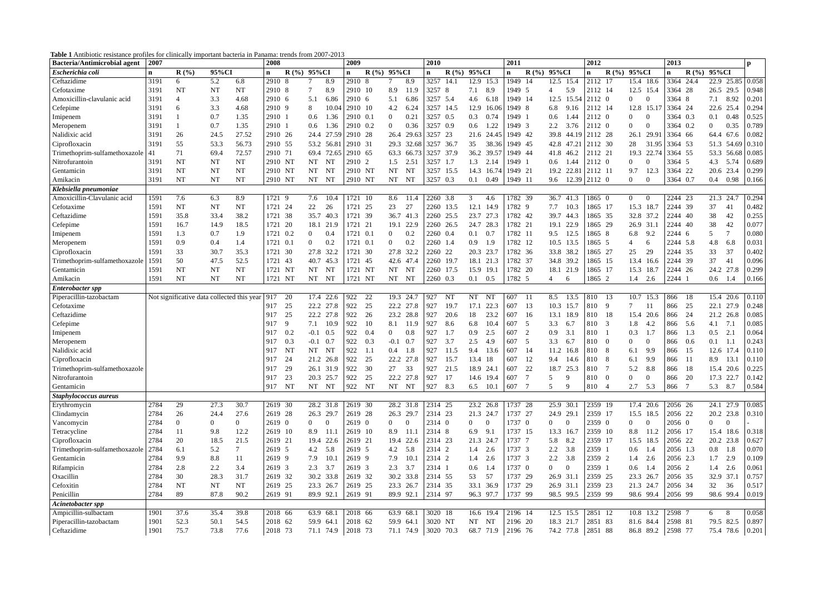**Table 1** Antibiotic resistance profiles for clinically important bacteria in Panama: trends from 2007-2013

| <b>Bacteria/Antimicrobial agent</b> | 2007 |                                            |                |                | 2008                   |                  |                    | 2009          |               |                |                    | 2010           |                  |                |                   | 2011        |                  |                             |                | 2012               |                |                                  | 2013         |                  |                |                  | $\mathbf{p}$     |
|-------------------------------------|------|--------------------------------------------|----------------|----------------|------------------------|------------------|--------------------|---------------|---------------|----------------|--------------------|----------------|------------------|----------------|-------------------|-------------|------------------|-----------------------------|----------------|--------------------|----------------|----------------------------------|--------------|------------------|----------------|------------------|------------------|
| Escherichia coli                    | n    | R(%)                                       | 95%CI          |                | $\mathbf{n}$           | $\mathbf{R}$ (%) | 95%CI              | $\mathbf n$   | $R(\%)$ 95%CI |                |                    | n              | $\mathbf{R}$ (%) | 95%CI          |                   | $\mathbf n$ | $\mathbf{R}$ (%) | 95%CI                       |                | $\mathbf n$        | R(%)           | 95%CI                            | $\mathbf{n}$ | $\mathbf{R}$ (%) | 95%CI          |                  |                  |
| Ceftazidime                         | 3191 | 6                                          | 5.2            | 6.8            | 2910 8                 |                  | 8.9                | 2910 8        |               |                | 8.9                | 3257           | 14.1             |                | 12.9 15.3         | 1949 14     |                  | 12.5 15.4                   |                | $\sqrt{2112}$ 17   |                | 15.4 18.6                        | 3364         | 24.4             |                |                  | 22.9 25.85 0.058 |
| Cefotaxime                          | 3191 | <b>NT</b>                                  | NT             | NT             | 2910 8                 |                  | 8.9                | 2910 10       |               | 8.9            | 11.9               | 3257 8         |                  | 7.1            | 8.9               | 1949 5      |                  | $\overline{4}$              | 5.9            | 2112 14            |                | 12.5 15.4                        | 3364 28      |                  | 26.5           | 29.5             | 0.948            |
| Amoxicillin-clavulanic acid         | 3191 | 4                                          | 3.3            | 4.68           | 2910 6                 | 5.1              | 6.86               | 2910 6        |               | 5.1            | 6.86               | 3257 5.4       |                  | 4.6            | 6.18              | 1949 14     |                  | 12.5                        |                | 15.54 2112 0       |                | $\overline{0}$<br>$\Omega$       | 3364 8       |                  | 7.1            | 8.92             | 0.201            |
| Cefepime                            | 3191 | 6                                          | 3.3            | 4.68           | 2910 9                 | $\,8\,$          | 10.04              | 2910 10       |               | 4.2            | 6.24               |                | 3257 14.5        | 12.9           | 16.06             | 1949 8      |                  | 6.8                         | 9.16           | 2112 14            |                | 12.8 15.17                       | 3364 24      |                  | 22.6           | 25.4             | 0.294            |
| Imipenem                            | 3191 |                                            | 0.7            | 1.35           | 2910                   | 0.6              | 1.36               | 2910 0.1      |               | $\overline{0}$ | 0.21               | 3257 0.5       |                  | 0.3            | 0.74              | 1949 1      |                  | 0.6                         | 1.44           | 2112 0             |                | $\overline{0}$<br>$\overline{0}$ |              | 3364 0.3         | 0.1            | 0.48             | 0.525            |
| Meropenem                           | 3191 |                                            | 0.7            | 1.35           | 2910 1                 | 0.6              | 1.36               |               | 2910 0.2      | $\overline{0}$ | 0.36               | 3257 0.9       |                  | 0.6            | 1.22              | 1949 3      |                  | 2.2                         | 3.76           | 2112 0             |                | $\overline{0}$<br>$\Omega$       |              | 3364 0.2         | $\overline{0}$ | 0.35             | 0.789            |
| Nalidixic acid                      | 3191 | 26                                         | 24.5           | 27.52          | 2910 26                |                  | 27.59<br>24.4      | 2910 28       |               |                | 26.4 29.63         | 3257 23        |                  |                | 21.6 24.45        | 1949 42     |                  |                             | 39.8 44.19     | 2112 28            |                | 29.91<br>26.1                    | 3364 66      |                  | 64.4           | 67.6             | 0.082            |
| Ciprofloxacin                       | 3191 | 55                                         | 53.3           | 56.73          | 2910 55                |                  | 53.2 56.81         | 2910 31       |               |                | 29.3 32.68         | 3257 36.7      |                  | 35             | 38.36             | 1949 45     |                  |                             | 42.8 47.21     | 2112 30            |                | 28<br>31.95                      | 3364 53      |                  |                |                  | 51.3 54.69 0.310 |
| Trimethoprim-sulfamethoxazole       | 41   | 71                                         | 69.4           | 72.57          | 2910 71                |                  | 69.4 72.65         | 2910 65       |               |                | 63.3 66.73         |                | 3257 37.9        |                | 36.2 39.57        | 1949 44     |                  | 41.8 46.2                   |                | 2112 21            |                | 19.3 22.74                       | 3364 55      |                  |                | 53.3 56.68 0.085 |                  |
| Nitrofurantoin                      | 3191 | NT                                         | NT             | <b>NT</b>      | 2910 NT                | <b>NT</b>        | NT                 | 2910 2        |               | 1.5            | 2.51               | 3257 1.7       |                  | 1.3            | 2.14              | 1949 1      |                  | 0.6                         | 1.44           | 2112 0             |                | $\overline{0}$<br>$\overline{0}$ | 3364 5       |                  | 4.3            | 5.74             | 0.689            |
| Gentamicin                          | 3191 | <b>NT</b>                                  | <b>NT</b>      | <b>NT</b>      | 2910 NT                | <b>NT</b>        | NT                 | 2910 NT       |               | <b>NT</b>      | NT                 |                | 3257 15.5        | 14.3           | 16.74             | 1949 21     |                  |                             |                | 19.2 22.81 2112 11 |                | 12.3<br>9.7                      | 3364 22      |                  | 20.6 23.4      |                  | 0.299            |
| Amikacin                            | 3191 | NT                                         | NT             | NT             | 2910 NT                | NT               | NT                 | 2910 NT       |               | NT             | NT                 | 3257 0.3       |                  | 0.1            | 0.49              | 1949 11     |                  | 9.6                         |                | 12.39 2112 0       |                | $\overline{0}$<br>$\Omega$       | 3364 0.7     |                  | 0.4            | 0.98             | 0.166            |
| Klebsiella pneumoniae               |      |                                            |                |                |                        |                  |                    |               |               |                |                    |                |                  |                |                   |             |                  |                             |                |                    |                |                                  |              |                  |                |                  |                  |
| Amoxicillin-Clavulanic acid         | 1591 | 7.6                                        | 6.3            | 8.9            | 1721 9                 | 7.6              | 10.4               |               | 1721 10       |                | 8.6 11.4           | 2260 3.8       |                  | 3              | 4.6               | 1782 39     |                  | 36.7 41.3                   |                | 1865 0             |                | $\overline{0}$<br>$\overline{0}$ | 2244 23      |                  | 21.3 24.7      |                  | 0.294            |
| Cefotaxime                          | 1591 | <b>NT</b>                                  | <b>NT</b>      | <b>NT</b>      | 1721 24                | 22               | 26                 | 1721 25       |               | 23             | 27                 |                | 2260 13.5        | 12.1           | 14.9              | 1782 9      |                  | 7.7                         | 10.3           | 1865 17            |                | 15.3 18.7                        | 2244 39      |                  | 37             | 41               | 0.482            |
| Ceftazidime                         | 1591 | 35.8                                       | 33.4           | 38.2           | 1721<br>38             |                  | 35.7<br>40.3       |               | 1721 39       |                | 36.7 41.3          |                | 2260 25.5        |                | 23.7 27.3         | 1782 42     |                  | 39.7 44.3                   |                | 1865 35            |                | 32.8 37.2                        | 2244 40      |                  | 38             | 42               | 0.255            |
| Cefepime                            | 1591 | 16.7                                       | 14.9           | 18.5           | 20<br>1721             |                  | 18.1<br>21.9       |               | 1721 21       |                | 19.1 22.9          |                | 2260 26.5        |                | 24.7 28.3         | 1782 21     |                  | 19.1                        | 22.9           | 1865 29            |                | 26.9 31.1                        | 2244 40      |                  | 38             | 42               | 0.077            |
| Imipenem                            | 1591 | 1.3                                        | 0.7            | 1.9            | 1721<br>0.2            | $\overline{0}$   | 0.4                |               | 1721 0.1      | 0              | 0.2                | 2260 0.4       |                  | 0.1            | 0.7               | 1782 11     |                  | 9.5                         | 12.5           | 1865 8             |                | 6.8<br>9.2                       | 2244 6       |                  | 5              | $\tau$           | 0.080            |
| Meropenem                           | 1591 | 0.9                                        | 0.4            | 1.4            | 1721<br>0.1            | $\overline{0}$   | 0.2                |               | 1721 0.1      | $\overline{0}$ | 0.2                | 2260 1.4       |                  | 0.9            | 1.9               | 1782 12     |                  | 10.5 13.5                   |                | 1865 5             |                | 6                                |              | 2244 5.8         | 4.8            | 6.8              | 0.031            |
| Ciprofloxacin                       | 1591 | 33                                         | 30.7           | 35.3           | 1721<br>30             |                  | 27.8<br>32.2       |               | 1721 30       |                | 27.8 32.2          | 2260 22        |                  | 20.3           | 23.7              | 1782 36     |                  | 33.8 38.2                   |                | 1865 27            |                | 25<br>29                         | 2244 35      |                  | 33             | 37               | 0.402            |
| Trimethoprim-sulfamethoxazole       | 1591 | 50                                         | 47.5           | 52.5           | 1721<br>43             |                  | 40.7<br>45.3       |               | 1721 45       |                | 42.6 47.4          | 2260 19.7      |                  |                | 18.1 21.3         | 1782 37     |                  | 34.8 39.2                   |                | 1865 15            |                | 13.4 16.6                        | 2244 39      |                  | 37             | 41               | 0.096            |
| Gentamicin                          | 1591 | NT                                         | <b>NT</b>      | <b>NT</b>      | 1721 NT                | <b>NT</b>        | NI                 |               | 1721 NT       | NT             | NT                 | 2260 17.5      |                  | 15.9           | <b>19.</b>        | 1782 20     |                  | 18.1 21.9                   |                | 1865 17            |                | 15.3<br>18.7                     | 2244 26      |                  | 24.2           | 27.8             | 0.299            |
| Amikacin                            | 1591 | <b>NT</b>                                  | <b>NT</b>      | <b>NT</b>      | 1721 NT                | <b>NT</b>        | NT                 |               | 1721 NT       | <b>NT</b>      | NT                 | 2260 0.3       |                  | 0.1            | 0.5               | 1782 5      |                  | 4                           | -6             | 1865 2             |                | 1.4<br>2.6                       | 2244 1       |                  | 0.6            | 1.4              | 0.166            |
| Enterobacter spp                    |      |                                            |                |                |                        |                  |                    |               |               |                |                    |                |                  |                |                   |             |                  |                             |                |                    |                |                                  |              |                  |                |                  |                  |
| Piperacillin-tazobactam             |      | Not significative data collected this year |                |                | 917<br>20              |                  | 17.4 22.6          | 922           | 22            |                | 19.3 24.7          | 927            | NT               | NT             | NT                | 607         | -11              | 8.5                         | 13.5           | 810                | 13             | 10.7 15.3                        | 866          | 18               | 15.4 20.6      |                  | 0.110            |
|                                     |      |                                            |                |                | 25<br>917              |                  | 22.2<br>27.8       | 922           | 25            |                | 22.2 27.8          | 927            | 19.7             | 17.1           | 22.3              | 607         | 13               | 10.3 15.7                   |                | 810                | -9             |                                  | 866          | 25               | 22.1           | 27.9             | 0.248            |
| Cefotaxime<br>Ceftazidime           |      |                                            |                |                | 25<br>917              |                  | 22.2<br>27.8       | 922           | 26            |                | 23.2 28.8          | 927            | 20.6             | 18             | 23.2              | 607         | -16              | 13.1                        | 18.9           | 810                | - 18           | -11<br>15.4 20.6                 | 866          | 24               | 21.2 26.8      |                  | 0.085            |
| Cefepime                            |      |                                            |                |                | 9<br>917               | 7.1              | 10.9               | 922           | 10            | 8.1            | 11.9               | 927            | 8.6              | 6.8            | 10.4              | 607         | 5                | 3.3                         | 6.7            | 810                | - 3            | 1.8<br>4.2                       | 866          | 5.6              | 4.1            | 7.1              | 0.085            |
|                                     |      |                                            |                |                | 0.2<br>917             |                  | $-0.1$<br>0.5      | 922           | 0.4           | $\overline{0}$ | 0.8                | 927            | 1.7              | 0.9            | 2.5               | 607         | 2                | 0.9                         | 3.1            | 810                |                | 1.7<br>0.3                       | 866          | 1.3              | 0.5            | 2.1              | 0.064            |
| Imipenem                            |      |                                            |                |                | 917                    |                  | $-0.1$<br>0.7      | 922           |               | $-0.1$         | 0.7                | 927            | 3.7              | 2.5            | 4.9               | 607         |                  | 3.3                         |                | 810                |                | $\overline{0}$<br>$\overline{0}$ |              |                  |                |                  | 0.243            |
| Meropenem<br>Nalidixic acid         |      |                                            |                |                | 0.3<br>917             | <b>NT</b>        | NT                 | 922           | 0.3           |                |                    | 927            |                  | 9.4            | 13.6              | 607         | 5                |                             | 6.7            | 810                | - 0            | 9.9                              | 866          | 0.6              | 0.1            | 1.1<br>17.4      | 0.110            |
| Ciprofloxacin                       |      |                                            |                |                | NT<br>24<br>917        |                  | 21.2<br>26.8       | 922           | 1.1<br>25     | 0.4<br>22.2    | 1.8<br>27.8        | 927            | 11.5             | 13.4           | 18                | 607         | 14<br>12         | 11.2<br>9.4                 | 16.8           | 810                | - 8<br>- 8     | 6.1<br>6.1<br>9.9                | 866<br>866   | 15<br>11         | 12.6<br>8.9    | 13.1             | 0.110            |
|                                     |      |                                            |                |                | 29<br>917              |                  | 26.1<br>31.9       | 922           | 30            | 27             | 33                 | 927            | 15.7<br>21.5     | 18.9           | 24.1              | 607         | 22               | 18.7                        | 14.6<br>25.3   | 810                |                | 8.8<br>5.2                       | 866          | 18               | 15.4 20.6      |                  | 0.225            |
| Trimethoprim-sulfamethoxazole       |      |                                            |                |                |                        |                  |                    |               |               |                |                    |                |                  |                |                   |             |                  |                             |                |                    |                |                                  |              |                  |                |                  | 0.142            |
| Nitrofurantoin<br>Gentamicin        |      |                                            |                |                | 23<br>917<br>917<br>NT |                  | 20.3 25.7<br>NT NT | 922<br>922 NT | 25            |                | 22.2 27.8<br>NT NT | 927<br>927 8.3 | 17               | 6.5            | 14.6 19.4<br>10.1 | 607<br>607  | - 7              | 5                           | 9<br>9         | 810<br>810 4       | $\overline{0}$ | $\overline{0}$<br>$\Omega$       | 866          | 20<br>- 7        | 17.3 22.7      |                  |                  |
| Staphylococcus aureus               |      |                                            |                |                |                        |                  |                    |               |               |                |                    |                |                  |                |                   |             |                  | 5 <sup>5</sup>              |                |                    |                | 5.3<br>2.7                       | 866          |                  | 5.3 8.7        |                  | 0.584            |
| Erythromycin                        | 2784 | 29                                         | 27.3           | 30.7           | 2619 30                |                  | 28.2 31.8          | 2619 30       |               |                | 28.2 31.8          | 2314 25        |                  |                | 23.2 26.8         | 1737 28     |                  | 25.9 30.1                   |                | 2359 19            |                | 17.4 20.6                        | 2056 26      |                  | 24.1 27.9      |                  | 0.085            |
| Clindamycin                         | 2784 | 26                                         | 24.4           | 27.6           | 2619 28                |                  | 26.3 29.7          | 2619 28       |               |                | 26.3 29.7          | 2314 23        |                  |                | 21.3 24.7         | 1737 27     |                  | 24.9 29.1                   |                | 2359 17            |                | 15.5 18.5                        | 2056 22      |                  | 20.2 23.8      |                  | 0.310            |
|                                     | 2784 |                                            |                | $\overline{0}$ | 2619 0                 |                  | $\bf{0}$           | 2619 0        |               |                |                    | 2314 0         |                  |                |                   | 1737 0      |                  |                             |                | 2359 0             |                |                                  |              |                  | $\overline{0}$ |                  |                  |
| Vancomycin                          |      | $\overline{0}$                             | $\overline{0}$ |                |                        | $\overline{0}$   |                    |               |               | $\mathbf{0}$   | $\overline{0}$     |                |                  | $\overline{0}$ | $\bf{0}$          |             |                  | $\overline{0}$<br>13.3 16.7 | $\overline{0}$ |                    |                | $\overline{0}$<br>$\overline{0}$ | 2056 0       |                  |                | $\overline{0}$   |                  |
| Tetracycline                        | 2784 | 11                                         | 9.8            | 12.2           | 2619 10                | 8.9              | 11.1               | 2619 10       |               | 8.9            | 11.1               | 2314 8         |                  | 6.9            | 9.1               | 1737 15     |                  |                             |                | 2359 10            |                | 8.8<br>11.2                      | 2056 17      |                  | 15.4 18.6      |                  | 0.318            |
| Ciprofloxacin                       | 2784 | 20                                         | 18.5           | 21.5           | 2619 21                |                  | 19.4<br>22.6       | 2619 21       |               |                | 19.4 22.6          | 2314 23        |                  | 21.3 24.7      |                   | 1737 7      |                  | 5.8                         | 8.2            | 2359 17            |                | 15.5 18.5                        | 2056 22      |                  | 20.2 23.8      |                  | 0.627            |
| Trimethoprim-sulfamethoxazole       | 2784 | 6.1                                        | 5.2            | $7^{\circ}$    | 2619 5                 | 4.2              | 5.8                | 2619 5        |               | 4.2            | 5.8                | 2314 2         |                  | 1.4            | 2.6               | 1737 3      |                  | 2.2                         | 3.8            | 2359 1             |                | $0.6\,$<br>1.4                   |              | 2056 1.3         | $0.8\,$        | 1.8              | 0.070            |
| Gentamicin                          | 2784 | 9.9                                        | 8.8            | 11             | 2619 9                 | 7.9              | 10.1               | 2619 9        |               | 7.9            | 10.1               | 2314 2         |                  | 1.4            | 2.6               | 1737 3      |                  | $2.2\,$                     | 3.8            | 2359 2             |                | 2.6<br>1.4                       |              | 2056 2.3         | 1.7            | 2.9              | 0.109            |
| Rifampicin                          | 2784 | 2.8                                        | 2.2            | 3.4            | 2619 3                 | 2.3              | 3.7                | 2619 3        |               | 2.3            | 3.7                | 2314 1         |                  | $0.6\,$        | 1.4               | 1737 0      |                  | 0                           | $\overline{0}$ | 2359 1             |                | $0.6\,$<br>1.4                   | 2056 2       |                  | 1.4            | 2.6              | 0.061            |
| Oxacillin                           | 2784 | 30                                         | 28.3           | 31.7           | 2619 32                |                  | 30.2 33.8          | 2619 32       |               |                | 30.2 33.8          | 2314 55        |                  | 53             | 57                | 1737 29     |                  | 26.9 31.1                   |                | 2359 25            |                | 23.3 26.7                        | 2056 35      |                  | 32.9 37.1      |                  | 0.757            |
| Cefoxitin                           | 2784 | NT                                         | NT             | <b>NT</b>      | 2619 25                |                  | 23.3 26.7          | 2619 25       |               |                | 23.3 26.7          | 2314 35        |                  |                | 33.1 36.9         | 1737 29     |                  | 26.9 31.1                   |                | 2359 23            |                | 21.3 24.7                        | 2056 34      |                  | 32             | 36               | 0.517            |
| Penicillin                          | 2784 | 89                                         | 87.8           | 90.2           | 2619 91                |                  | 89.9 92.1          | 2619 91       |               |                | 89.9 92.1          | 2314 97        |                  |                | 96.3 97.7         | 1737 99     |                  |                             | 98.5 99.5      | 2359 99            |                | 98.6 99.4                        | 2056 99      |                  | 98.6 99.4      |                  | 0.019            |
| Acinetobacter spp                   |      |                                            |                |                |                        |                  |                    |               |               |                |                    |                |                  |                |                   |             |                  |                             |                |                    |                |                                  |              |                  |                |                  |                  |
| Ampicillin-sulbactam                | 1901 | 37.6                                       | 35.4           | 39.8           | 2018 66                |                  | 63.9 68.1          | 2018 66       |               |                | 63.9 68.1          | 3020 18        |                  |                | 16.6 19.4         | 2196 14     |                  |                             | 12.5 15.5      | 2851 12            |                | 10.8 13.2                        | 2598 7       |                  | 6              | 8                | 0.058            |
| Piperacillin-tazobactam             | 1901 | 52.3                                       | 50.1           | 54.5           | 2018 62                |                  | 59.9 64.1          | 2018 62       |               |                | 59.9 64.1          | 3020 NT        |                  | NT NT          |                   | 2196 20     |                  |                             | 18.3 21.7      | 2851 83            |                | 81.6 84.4                        | 2598 81      |                  | 79.5 82.5      |                  | 0.897            |
| Ceftazidime                         | 1901 | 75.7                                       | 73.8           | 77.6           | 2018 73                |                  | 71.1 74.9 2018 73  |               |               |                | 71.1 74.9          | 3020 70.3      |                  |                | 68.7 71.9         | 2196 76     |                  |                             |                | 74.2 77.8 2851 88  |                | 86.8 89.2 2598 77                |              |                  |                | 75.4 78.6 0.201  |                  |